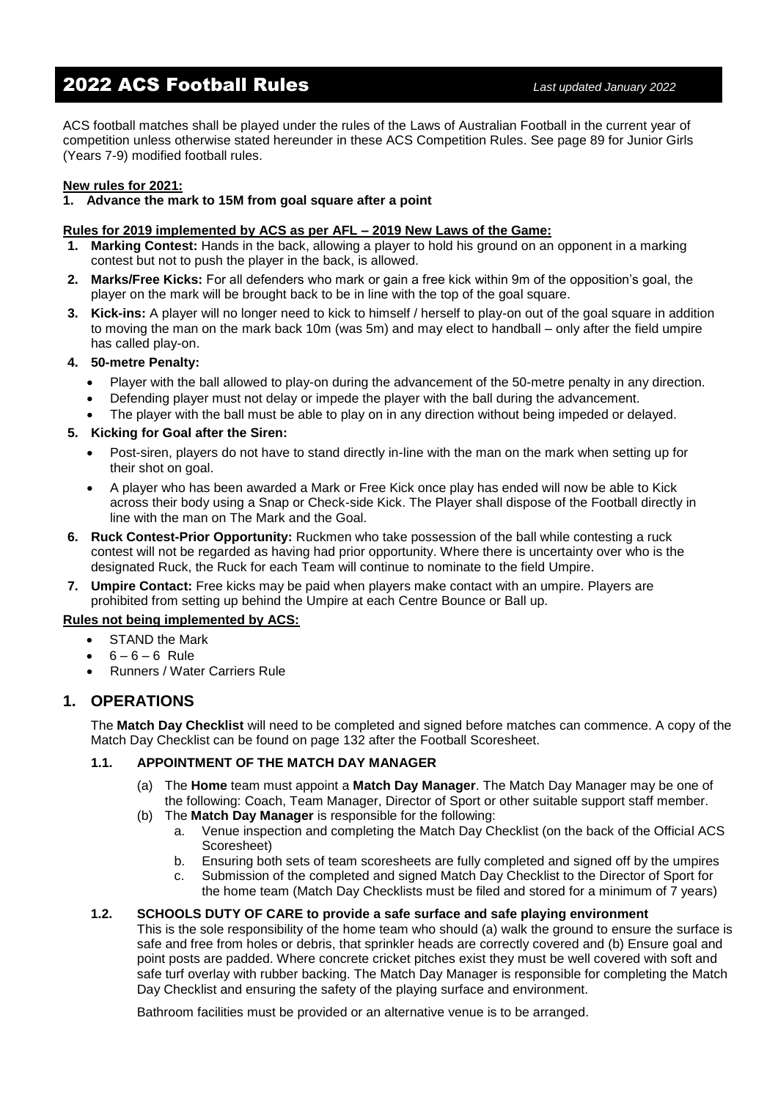# 2022 ACS Football Rules *Last updated January 2022*

ACS football matches shall be played under the rules of the Laws of Australian Football in the current year of competition unless otherwise stated hereunder in these ACS Competition Rules. See page 89 for Junior Girls (Years 7-9) modified football rules.

#### **New rules for 2021:**

#### **1. Advance the mark to 15M from goal square after a point**

#### **Rules for 2019 implemented by ACS as per AFL – 2019 New Laws of the Game:**

- **1. Marking Contest:** Hands in the back, allowing a player to hold his ground on an opponent in a marking contest but not to push the player in the back, is allowed.
- **2. Marks/Free Kicks:** For all defenders who mark or gain a free kick within 9m of the opposition's goal, the player on the mark will be brought back to be in line with the top of the goal square.
- **3. Kick-ins:** A player will no longer need to kick to himself / herself to play-on out of the goal square in addition to moving the man on the mark back 10m (was 5m) and may elect to handball – only after the field umpire has called play-on.

#### **4. 50-metre Penalty:**

- Player with the ball allowed to play-on during the advancement of the 50-metre penalty in any direction.
- Defending player must not delay or impede the player with the ball during the advancement.
- The player with the ball must be able to play on in any direction without being impeded or delayed.

#### **5. Kicking for Goal after the Siren:**

- Post-siren, players do not have to stand directly in-line with the man on the mark when setting up for their shot on goal.
- A player who has been awarded a Mark or Free Kick once play has ended will now be able to Kick across their body using a Snap or Check-side Kick. The Player shall dispose of the Football directly in line with the man on The Mark and the Goal.
- **6. Ruck Contest-Prior Opportunity:** Ruckmen who take possession of the ball while contesting a ruck contest will not be regarded as having had prior opportunity. Where there is uncertainty over who is the designated Ruck, the Ruck for each Team will continue to nominate to the field Umpire.
- **7. Umpire Contact:** Free kicks may be paid when players make contact with an umpire. Players are prohibited from setting up behind the Umpire at each Centre Bounce or Ball up.

#### **Rules not being implemented by ACS:**

- STAND the Mark
- $6 6 6$  Rule
- Runners / Water Carriers Rule

## **1. OPERATIONS**

The **Match Day Checklist** will need to be completed and signed before matches can commence. A copy of the Match Day Checklist can be found on page 132 after the Football Scoresheet.

### **1.1. APPOINTMENT OF THE MATCH DAY MANAGER**

- (a) The **Home** team must appoint a **Match Day Manager**. The Match Day Manager may be one of the following: Coach, Team Manager, Director of Sport or other suitable support staff member.
- (b) The **Match Day Manager** is responsible for the following:
	- a. Venue inspection and completing the Match Day Checklist (on the back of the Official ACS Scoresheet)
	- b. Ensuring both sets of team scoresheets are fully completed and signed off by the umpires
	- c. Submission of the completed and signed Match Day Checklist to the Director of Sport for the home team (Match Day Checklists must be filed and stored for a minimum of 7 years)

#### **1.2. SCHOOLS DUTY OF CARE to provide a safe surface and safe playing environment**

This is the sole responsibility of the home team who should (a) walk the ground to ensure the surface is safe and free from holes or debris, that sprinkler heads are correctly covered and (b) Ensure goal and point posts are padded. Where concrete cricket pitches exist they must be well covered with soft and safe turf overlay with rubber backing. The Match Day Manager is responsible for completing the Match Day Checklist and ensuring the safety of the playing surface and environment.

Bathroom facilities must be provided or an alternative venue is to be arranged.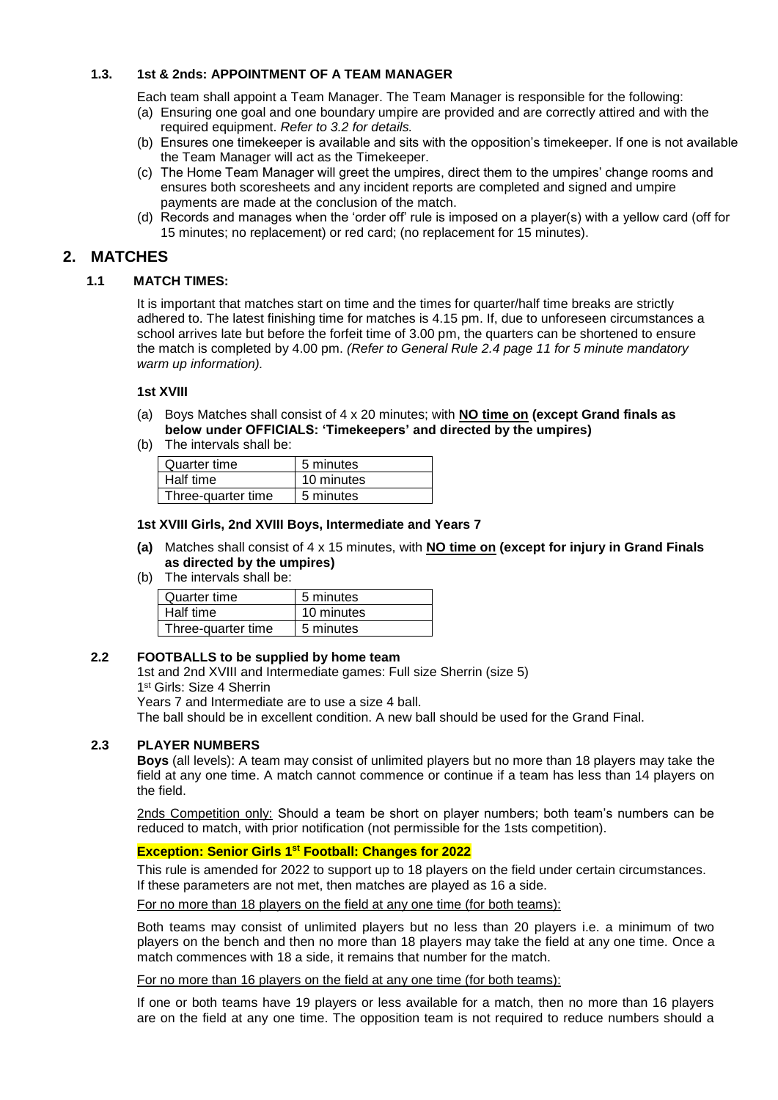#### **1.3. 1st & 2nds: APPOINTMENT OF A TEAM MANAGER**

Each team shall appoint a Team Manager. The Team Manager is responsible for the following:

- (a) Ensuring one goal and one boundary umpire are provided and are correctly attired and with the required equipment. *Refer to 3.2 for details.*
- (b) Ensures one timekeeper is available and sits with the opposition's timekeeper. If one is not available the Team Manager will act as the Timekeeper.
- (c) The Home Team Manager will greet the umpires, direct them to the umpires' change rooms and ensures both scoresheets and any incident reports are completed and signed and umpire payments are made at the conclusion of the match.
- (d) Records and manages when the 'order off' rule is imposed on a player(s) with a yellow card (off for 15 minutes; no replacement) or red card; (no replacement for 15 minutes).

## **2. MATCHES**

#### **1.1 MATCH TIMES:**

It is important that matches start on time and the times for quarter/half time breaks are strictly adhered to. The latest finishing time for matches is 4.15 pm. If, due to unforeseen circumstances a school arrives late but before the forfeit time of 3.00 pm, the quarters can be shortened to ensure the match is completed by 4.00 pm. *(Refer to General Rule 2.4 page 11 for 5 minute mandatory warm up information).*

#### **1st XVIII**

- (a) Boys Matches shall consist of 4 x 20 minutes; with **NO time on (except Grand finals as below under OFFICIALS: 'Timekeepers' and directed by the umpires)**
- (b) The intervals shall be:

| Quarter time       | 5 minutes  |
|--------------------|------------|
| Half time          | 10 minutes |
| Three-quarter time | 5 minutes  |

#### **1st XVIII Girls, 2nd XVIII Boys, Intermediate and Years 7**

- **(a)** Matches shall consist of 4 x 15 minutes, with **NO time on (except for injury in Grand Finals as directed by the umpires)**
- (b) The intervals shall be:

| Quarter time       | 5 minutes  |
|--------------------|------------|
| Half time          | 10 minutes |
| Three-quarter time | 5 minutes  |

#### **2.2 FOOTBALLS to be supplied by home team**

1st and 2nd XVIII and Intermediate games: Full size Sherrin (size 5)

1 st Girls: Size 4 Sherrin

Years 7 and Intermediate are to use a size 4 ball.

The ball should be in excellent condition. A new ball should be used for the Grand Final.

#### **2.3 PLAYER NUMBERS**

**Boys** (all levels): A team may consist of unlimited players but no more than 18 players may take the field at any one time. A match cannot commence or continue if a team has less than 14 players on the field.

2nds Competition only: Should a team be short on player numbers; both team's numbers can be reduced to match, with prior notification (not permissible for the 1sts competition).

# **Exception: Senior Girls 1st Football: Changes for 2022**

This rule is amended for 2022 to support up to 18 players on the field under certain circumstances. If these parameters are not met, then matches are played as 16 a side.

For no more than 18 players on the field at any one time (for both teams):

Both teams may consist of unlimited players but no less than 20 players i.e. a minimum of two players on the bench and then no more than 18 players may take the field at any one time. Once a match commences with 18 a side, it remains that number for the match.

For no more than 16 players on the field at any one time (for both teams):

If one or both teams have 19 players or less available for a match, then no more than 16 players are on the field at any one time. The opposition team is not required to reduce numbers should a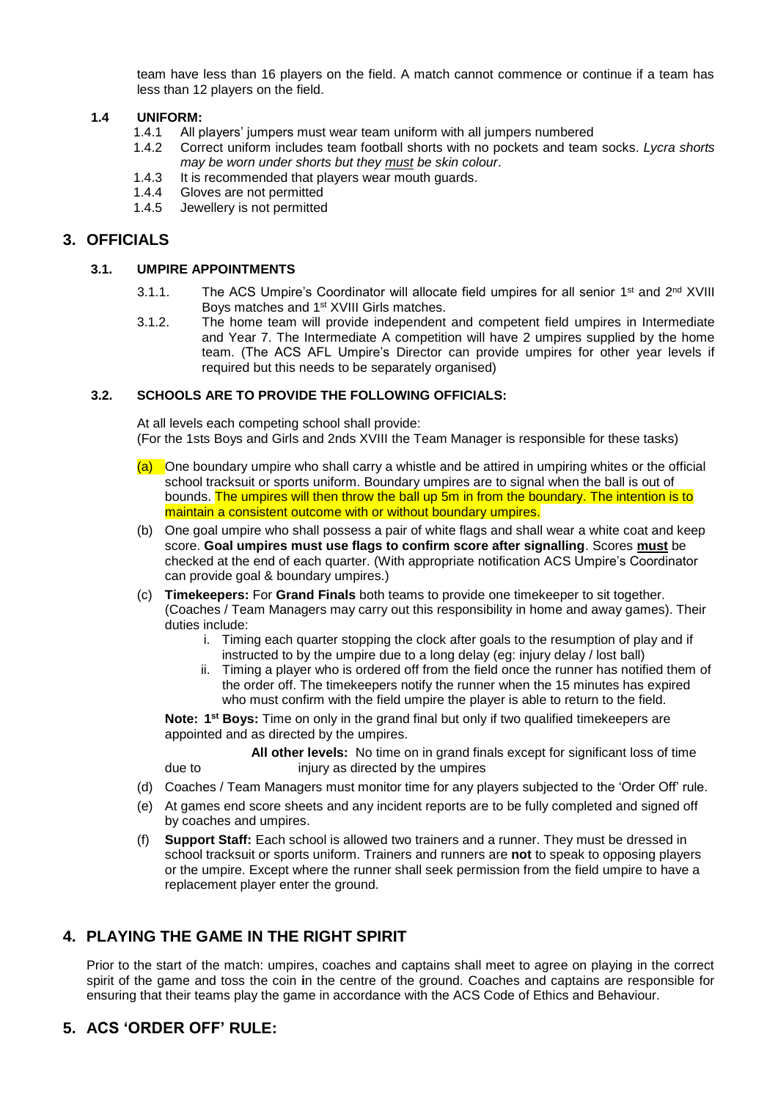team have less than 16 players on the field. A match cannot commence or continue if a team has less than 12 players on the field.

#### **1.4 UNIFORM:**

- 1.4.1 All players' jumpers must wear team uniform with all jumpers numbered
- 1.4.2 Correct uniform includes team football shorts with no pockets and team socks. *Lycra shorts may be worn under shorts but they must be skin colour*.
- 1.4.3 It is recommended that players wear mouth guards.<br>1.4.4 Gloves are not permitted
- Gloves are not permitted
- 1.4.5 Jewellery is not permitted

# **3. OFFICIALS**

#### **3.1. UMPIRE APPOINTMENTS**

- 3.1.1. The ACS Umpire's Coordinator will allocate field umpires for all senior 1<sup>st</sup> and 2<sup>nd</sup> XVIII Boys matches and 1st XVIII Girls matches.
- 3.1.2. The home team will provide independent and competent field umpires in Intermediate and Year 7. The Intermediate A competition will have 2 umpires supplied by the home team. (The ACS AFL Umpire's Director can provide umpires for other year levels if required but this needs to be separately organised)

#### **3.2. SCHOOLS ARE TO PROVIDE THE FOLLOWING OFFICIALS:**

At all levels each competing school shall provide: (For the 1sts Boys and Girls and 2nds XVIII the Team Manager is responsible for these tasks)

- $(a)$  One boundary umpire who shall carry a whistle and be attired in umpiring whites or the official school tracksuit or sports uniform. Boundary umpires are to signal when the ball is out of bounds. The umpires will then throw the ball up 5m in from the boundary. The intention is to maintain a consistent outcome with or without boundary umpires.
- (b) One goal umpire who shall possess a pair of white flags and shall wear a white coat and keep score. **Goal umpires must use flags to confirm score after signalling**. Scores **must** be checked at the end of each quarter. (With appropriate notification ACS Umpire's Coordinator can provide goal & boundary umpires.)
- (c) **Timekeepers:** For **Grand Finals** both teams to provide one timekeeper to sit together. (Coaches / Team Managers may carry out this responsibility in home and away games). Their duties include:
	- i. Timing each quarter stopping the clock after goals to the resumption of play and if instructed to by the umpire due to a long delay (eg: injury delay / lost ball)
	- ii. Timing a player who is ordered off from the field once the runner has notified them of the order off. The timekeepers notify the runner when the 15 minutes has expired who must confirm with the field umpire the player is able to return to the field.

**Note: 1<sup>st</sup> Boys:** Time on only in the grand final but only if two qualified timekeepers are appointed and as directed by the umpires.

**All other levels:** No time on in grand finals except for significant loss of time due to injury as directed by the umpires

- (d) Coaches / Team Managers must monitor time for any players subjected to the 'Order Off' rule.
- (e) At games end score sheets and any incident reports are to be fully completed and signed off by coaches and umpires.
- (f) **Support Staff:** Each school is allowed two trainers and a runner. They must be dressed in school tracksuit or sports uniform. Trainers and runners are **not** to speak to opposing players or the umpire. Except where the runner shall seek permission from the field umpire to have a replacement player enter the ground.

# **4. PLAYING THE GAME IN THE RIGHT SPIRIT**

Prior to the start of the match: umpires, coaches and captains shall meet to agree on playing in the correct spirit of the game and toss the coin **i**n the centre of the ground. Coaches and captains are responsible for ensuring that their teams play the game in accordance with the ACS Code of Ethics and Behaviour.

# **5. ACS 'ORDER OFF' RULE:**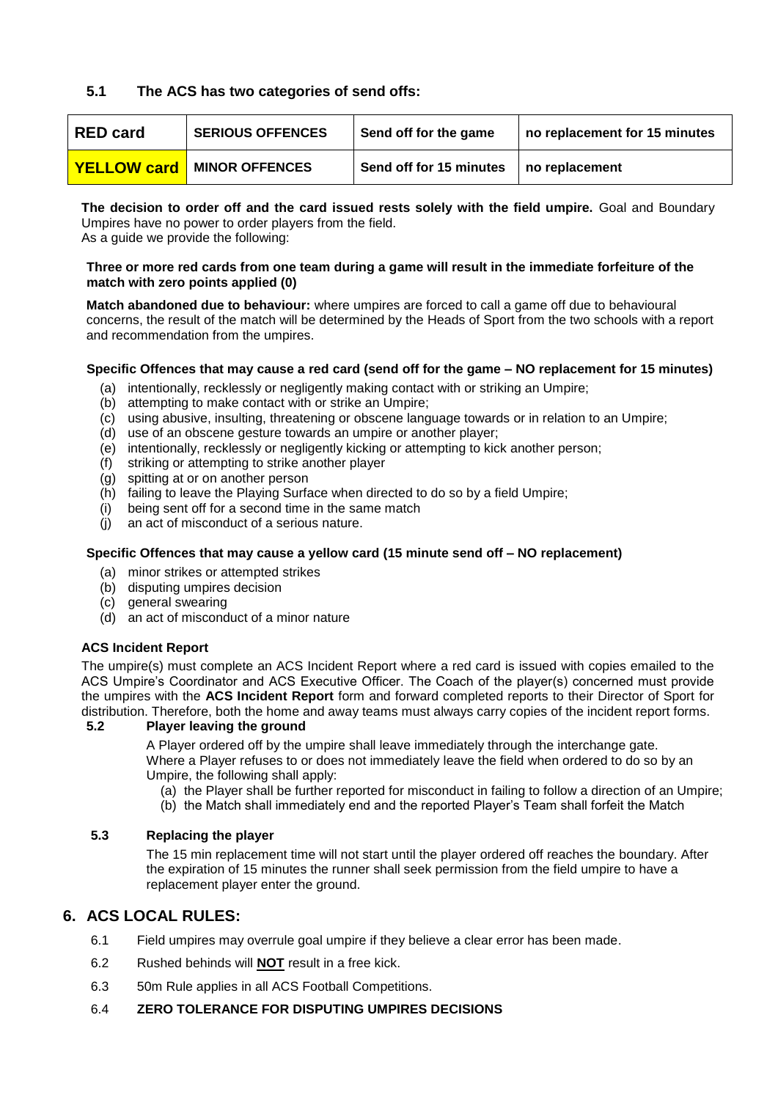# **5.1 The ACS has two categories of send offs:**

| <b>RED card</b> | <b>SERIOUS OFFENCES</b>           | Send off for the game   | no replacement for 15 minutes |
|-----------------|-----------------------------------|-------------------------|-------------------------------|
|                 | <b>YELLOW card</b> MINOR OFFENCES | Send off for 15 minutes | no replacement                |

**The decision to order off and the card issued rests solely with the field umpire.** Goal and Boundary Umpires have no power to order players from the field.

As a guide we provide the following:

#### **Three or more red cards from one team during a game will result in the immediate forfeiture of the match with zero points applied (0)**

**Match abandoned due to behaviour:** where umpires are forced to call a game off due to behavioural concerns, the result of the match will be determined by the Heads of Sport from the two schools with a report and recommendation from the umpires.

#### **Specific Offences that may cause a red card (send off for the game – NO replacement for 15 minutes)**

- (a) intentionally, recklessly or negligently making contact with or striking an Umpire;
- (b) attempting to make contact with or strike an Umpire;
- (c) using abusive, insulting, threatening or obscene language towards or in relation to an Umpire;
- (d) use of an obscene gesture towards an umpire or another player;
- (e) intentionally, recklessly or negligently kicking or attempting to kick another person;
- (f) striking or attempting to strike another player
- (g) spitting at or on another person
- (h) failing to leave the Playing Surface when directed to do so by a field Umpire;
- $(i)$  being sent off for a second time in the same match
- (j) an act of misconduct of a serious nature.

## **Specific Offences that may cause a yellow card (15 minute send off – NO replacement)**

- (a) minor strikes or attempted strikes
- (b) disputing umpires decision
- (c) general swearing
- (d) an act of misconduct of a minor nature

## **ACS Incident Report**

The umpire(s) must complete an ACS Incident Report where a red card is issued with copies emailed to the ACS Umpire's Coordinator and ACS Executive Officer. The Coach of the player(s) concerned must provide the umpires with the **ACS Incident Report** form and forward completed reports to their Director of Sport for distribution. Therefore, both the home and away teams must always carry copies of the incident report forms.

#### **5.2 Player leaving the ground**

A Player ordered off by the umpire shall leave immediately through the interchange gate. Where a Player refuses to or does not immediately leave the field when ordered to do so by an Umpire, the following shall apply:

- (a) the Player shall be further reported for misconduct in failing to follow a direction of an Umpire;
- (b) the Match shall immediately end and the reported Player's Team shall forfeit the Match

## **5.3 Replacing the player**

The 15 min replacement time will not start until the player ordered off reaches the boundary. After the expiration of 15 minutes the runner shall seek permission from the field umpire to have a replacement player enter the ground.

# **6. ACS LOCAL RULES:**

- 6.1 Field umpires may overrule goal umpire if they believe a clear error has been made.
- 6.2 Rushed behinds will **NOT** result in a free kick.
- 6.3 50m Rule applies in all ACS Football Competitions.
- 6.4 **ZERO TOLERANCE FOR DISPUTING UMPIRES DECISIONS**